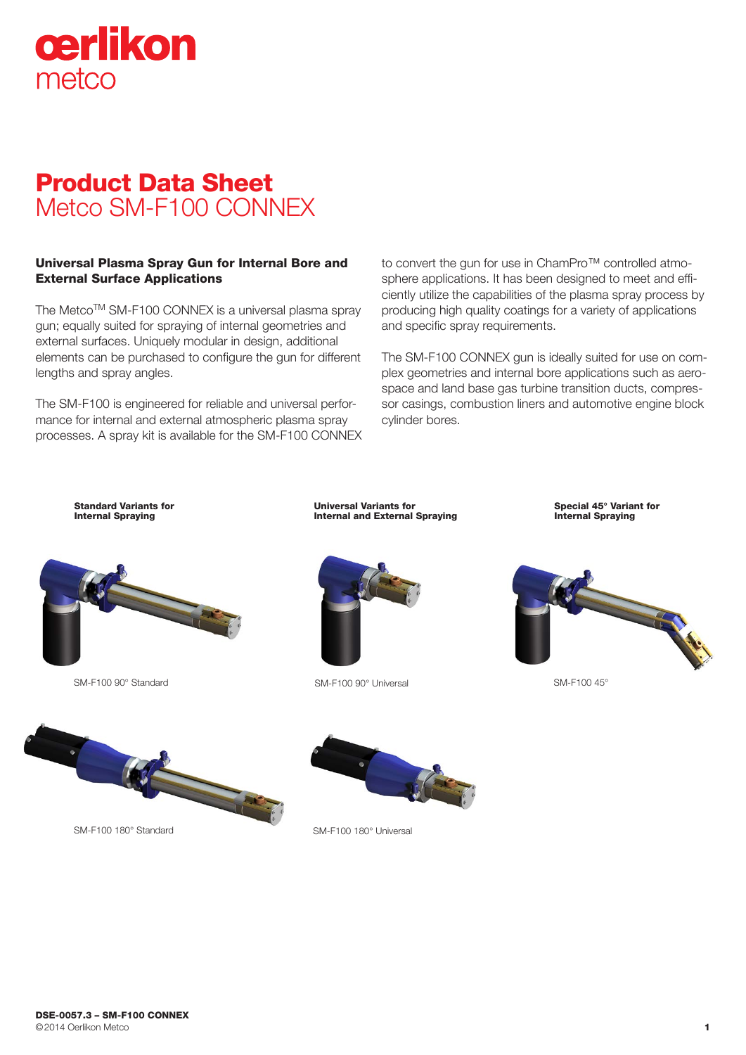

# Product Data Sheet Metco SM-F100 CONNEX

### Universal Plasma Spray Gun for Internal Bore and External Surface Applications

The Metco™ SM-F100 CONNEX is a universal plasma spray gun; equally suited for spraying of internal geometries and external surfaces. Uniquely modular in design, additional elements can be purchased to configure the gun for different lengths and spray angles.

The SM-F100 is engineered for reliable and universal performance for internal and external atmospheric plasma spray processes. A spray kit is available for the SM-F100 CONNEX to convert the gun for use in ChamPro™ controlled atmosphere applications. It has been designed to meet and efficiently utilize the capabilities of the plasma spray process by producing high quality coatings for a variety of applications and specific spray requirements.

The SM-F100 CONNEX gun is ideally suited for use on complex geometries and internal bore applications such as aerospace and land base gas turbine transition ducts, compressor casings, combustion liners and automotive engine block cylinder bores.

Standard Variants for Internal Spraying





Universal Variants for Internal and External Spraying

SM-F100 90° Standard SM-F100 90° Universal

Internal Spraying

Special 45° Variant for







SM-F100 180° Standard



SM-F100 180° Universal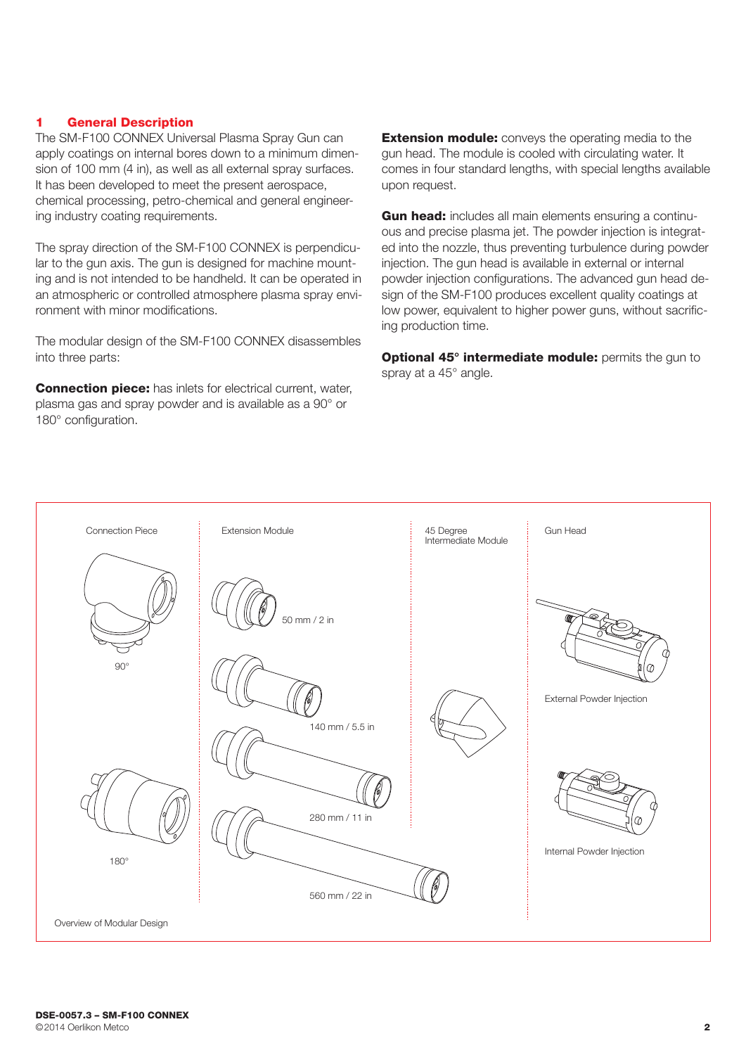#### 1 General Description

The SM-F100 CONNEX Universal Plasma Spray Gun can apply coatings on internal bores down to a minimum dimension of 100 mm (4 in), as well as all external spray surfaces. It has been developed to meet the present aerospace, chemical processing, petro-chemical and general engineering industry coating requirements.

The spray direction of the SM-F100 CONNEX is perpendicular to the gun axis. The gun is designed for machine mounting and is not intended to be handheld. It can be operated in an atmospheric or controlled atmosphere plasma spray environment with minor modifications.

The modular design of the SM-F100 CONNEX disassembles into three parts:

Connection piece: has inlets for electrical current, water, plasma gas and spray powder and is available as a 90° or 180° configuration.

**Extension module:** convevs the operating media to the gun head. The module is cooled with circulating water. It comes in four standard lengths, with special lengths available upon request.

Gun head: includes all main elements ensuring a continuous and precise plasma jet. The powder injection is integrated into the nozzle, thus preventing turbulence during powder injection. The gun head is available in external or internal powder injection configurations. The advanced gun head design of the SM-F100 produces excellent quality coatings at low power, equivalent to higher power guns, without sacrificing production time.

Optional 45° intermediate module: permits the gun to spray at a 45° angle.

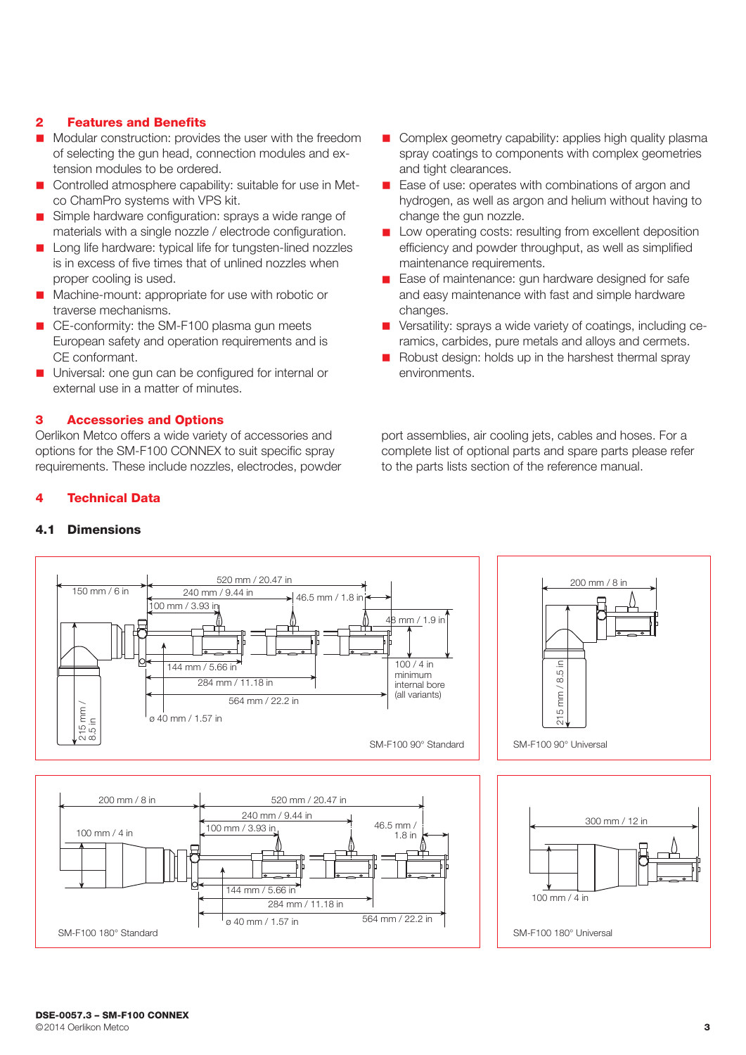### 2 Features and Benefits

- n Modular construction: provides the user with the freedom of selecting the gun head, connection modules and extension modules to be ordered.
- n Controlled atmosphere capability: suitable for use in Metco ChamPro systems with VPS kit.
- Simple hardware configuration: sprays a wide range of materials with a single nozzle / electrode configuration.
- Long life hardware: typical life for tungsten-lined nozzles is in excess of five times that of unlined nozzles when proper cooling is used.
- Machine-mount: appropriate for use with robotic or traverse mechanisms.
- CE-conformity: the SM-F100 plasma gun meets European safety and operation requirements and is CE conformant.
- Universal: one gun can be configured for internal or external use in a matter of minutes.

# 3 Accessories and Options

**Technical Data** 

4.1 Dimensions

Oerlikon Metco offers a wide variety of accessories and options for the SM-F100 CONNEX to suit specific spray requirements. These include nozzles, electrodes, powder

- **n** Complex geometry capability: applies high quality plasma spray coatings to components with complex geometries and tight clearances.
- Ease of use: operates with combinations of argon and hydrogen, as well as argon and helium without having to change the gun nozzle.
- **n** Low operating costs: resulting from excellent deposition efficiency and powder throughput, as well as simplified maintenance requirements.
- Ease of maintenance: gun hardware designed for safe and easy maintenance with fast and simple hardware changes.
- **n** Versatility: sprays a wide variety of coatings, including ceramics, carbides, pure metals and alloys and cermets.
- $\blacksquare$  Robust design: holds up in the harshest thermal spray environments.

port assemblies, air cooling jets, cables and hoses. For a complete list of optional parts and spare parts please refer to the parts lists section of the reference manual.

#### 520 mm / 20.47 in 200 mm / 8 in 150 mm / 6 in 240 mm / 9.44 in 46.5 mm / 1.8 in 100 mm / 3.93 in 8 mm / 1.9 in  $\frac{144 \text{ mm} / 5.66 \text{ in}}{100 / 4 \text{ in}}$  $\overline{c}$ 215 mm / 8.5 in 8.5 minimum 284 mm / 11.18 in internal bore  $mm/$ (all variants) 564 mm / 22.2 in 215 mm /  $215$  mm /<br>8.5 in 215 ø 40 mm / 1.57 in SM-F100 90° Standard SM-F100 90° Universal 200 mm / 8 in 520 mm / 20.47 in 240 mm / 9.44 in 300 mm / 12 in 100 mm / 3.93 in 46.5 mm / 100 mm / 4 in 1.8 in



100 mm / 4 in

SM-F100 180° Universal